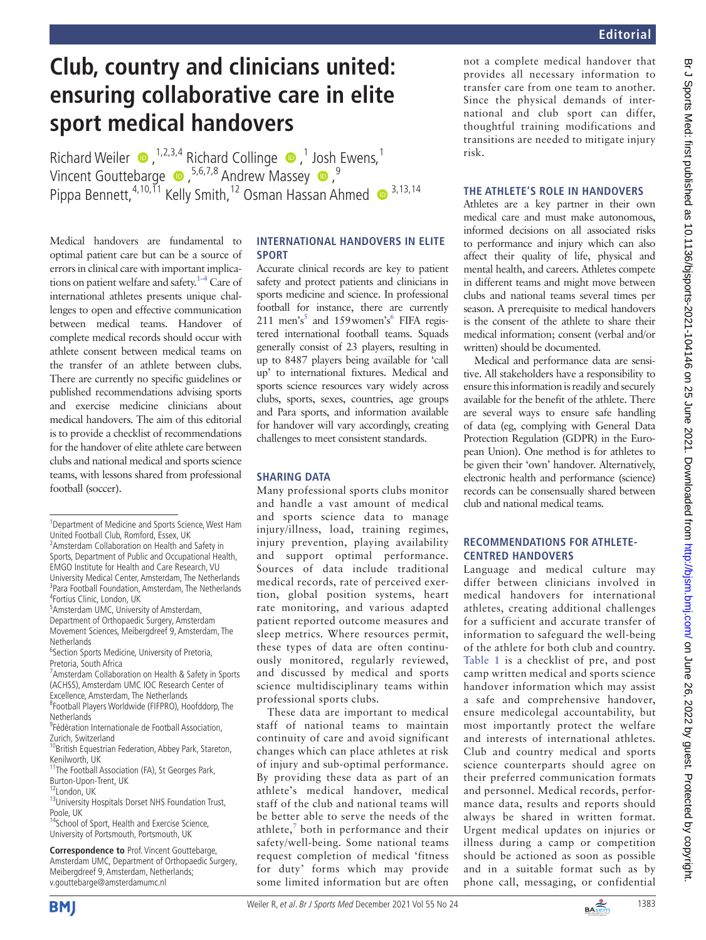# **Club, country and clinicians united: ensuring collaborative care in elite sport medical handovers**

RichardWeiler  $\bullet$ , <sup>1,2,3,4</sup> Richard Collinge  $\bullet$ , <sup>1</sup> Josh Ewens, <sup>1</sup> Vincent Gouttebarge  $\bullet$ , <sup>5,6,7,8</sup> Andrew Massey  $\bullet$ , <sup>9</sup> Pippa Bennett,<sup>4,10,11</sup> Kelly Smith,<sup>12</sup> Osman Hassan Ahmed  $\bullet$ <sup>3,13,14</sup>

Medical handovers are fundamental to optimal patient care but can be a source of errors in clinical care with important implications on patient welfare and safety.<sup>1–4</sup> Care of international athletes presents unique challenges to open and effective communication between medical teams. Handover of complete medical records should occur with athlete consent between medical teams on the transfer of an athlete between clubs. There are currently no specific guidelines or published recommendations advising sports and exercise medicine clinicians about medical handovers. The aim of this editorial is to provide a checklist of recommendations for the handover of elite athlete care between clubs and national medical and sports science teams, with lessons shared from professional football (soccer).

5 Amsterdam UMC, University of Amsterdam,

Department of Orthopaedic Surgery, Amsterdam Movement Sciences, Meibergdreef 9, Amsterdam, The **Netherlands** 

<sup>6</sup>Section Sports Medicine, University of Pretoria, Pretoria, South Africa

<sup>7</sup> Amsterdam Collaboration on Health & Safety in Sports (ACHSS), Amsterdam UMC IOC Research Center of Excellence, Amsterdam, The Netherlands

8 Football Players Worldwide (FIFPRO), Hoofddorp, The Netherlands

<sup>9</sup> Fédération Internationale de Football Association, Zurich, Switzerland

<sup>10</sup>British Equestrian Federation, Abbey Park, Stareton, Kenilworth, UK

11The Football Association (FA), St Georges Park, Burton-Upon-Trent, UK<br><sup>12</sup>London, UK

<sup>13</sup>University Hospitals Dorset NHS Foundation Trust, Poole, UK

<sup>14</sup>School of Sport, Health and Exercise Science, University of Portsmouth, Portsmouth, UK

**Correspondence to** Prof. Vincent Gouttebarge, Amsterdam UMC, Department of Orthopaedic Surgery, Meibergdreef 9, Amsterdam, Netherlands; v.gouttebarge@amsterdamumc.nl

#### **International handovers in elite sport**

Accurate clinical records are key to patient safety and protect patients and clinicians in sports medicine and science. In professional football for instance, there are currently 211 men's<sup>5</sup> and 159 women's<sup>6</sup> FIFA registered international football teams. Squads generally consist of 23 players, resulting in up to 8487 players being available for 'call up' to international fixtures. Medical and sports science resources vary widely across clubs, sports, sexes, countries, age groups and Para sports, and information available for handover will vary accordingly, creating challenges to meet consistent standards.

## **SHARING DATA**

Many professional sports clubs monitor and handle a vast amount of medical and sports science data to manage injury/illness, load, training regimes, injury prevention, playing availability and support optimal performance. Sources of data include traditional medical records, rate of perceived exertion, global position systems, heart rate monitoring, and various adapted patient reported outcome measures and sleep metrics. Where resources permit, these types of data are often continuously monitored, regularly reviewed, and discussed by medical and sports science multidisciplinary teams within professional sports clubs.

These data are important to medical staff of national teams to maintain continuity of care and avoid significant changes which can place athletes at risk of injury and sub-optimal performance. By providing these data as part of an athlete's medical handover, medical staff of the club and national teams will be better able to serve the needs of the athlete, $\frac{7}{7}$  $\frac{7}{7}$  $\frac{7}{7}$  both in performance and their safety/well-being. Some national teams request completion of medical 'fitness for duty' forms which may provide some limited information but are often

not a complete medical handover that provides all necessary information to transfer care from one team to another. Since the physical demands of international and club sport can differ, thoughtful training modifications and transitions are needed to mitigate injury risk.

## **The athlete's role in handovers**

Athletes are a key partner in their own medical care and must make autonomous, informed decisions on all associated risks to performance and injury which can also affect their quality of life, physical and mental health, and careers. Athletes compete in different teams and might move between clubs and national teams several times per season. A prerequisite to medical handovers is the consent of the athlete to share their medical information; consent (verbal and/or written) should be documented.

Medical and performance data are sensitive. All stakeholders have a responsibility to ensure this information is readily and securely available for the benefit of the athlete. There are several ways to ensure safe handling of data (eg, complying with General Data Protection Regulation (GDPR) in the European Union). One method is for athletes to be given their 'own' handover. Alternatively, electronic health and performance (science) records can be consensually shared between club and national medical teams.

## **Recommendations for athletecentred handovers**

Language and medical culture may differ between clinicians involved in medical handovers for international athletes, creating additional challenges for a sufficient and accurate transfer of information to safeguard the well-being of the athlete for both club and country. [Table](#page-1-0) 1 is a checklist of pre, and post camp written medical and sports science handover information which may assist a safe and comprehensive handover, ensure medicolegal accountability, but most importantly protect the welfare and interests of international athletes. Club and country medical and sports science counterparts should agree on their preferred communication formats and personnel. Medical records, performance data, results and reports should always be shared in written format. Urgent medical updates on injuries or illness during a camp or competition should be actioned as soon as possible and in a suitable format such as by phone call, messaging, or confidential





<sup>&</sup>lt;sup>1</sup>Department of Medicine and Sports Science, West Ham United Football Club, Romford, Essex, UK

<sup>&</sup>lt;sup>2</sup> Amsterdam Collaboration on Health and Safety in Sports, Department of Public and Occupational Health, EMGO Institute for Health and Care Research, VU University Medical Center, Amsterdam, The Netherlands <sup>3</sup>Para Football Foundation, Amsterdam, The Netherlands 4 Fortius Clinic, London, UK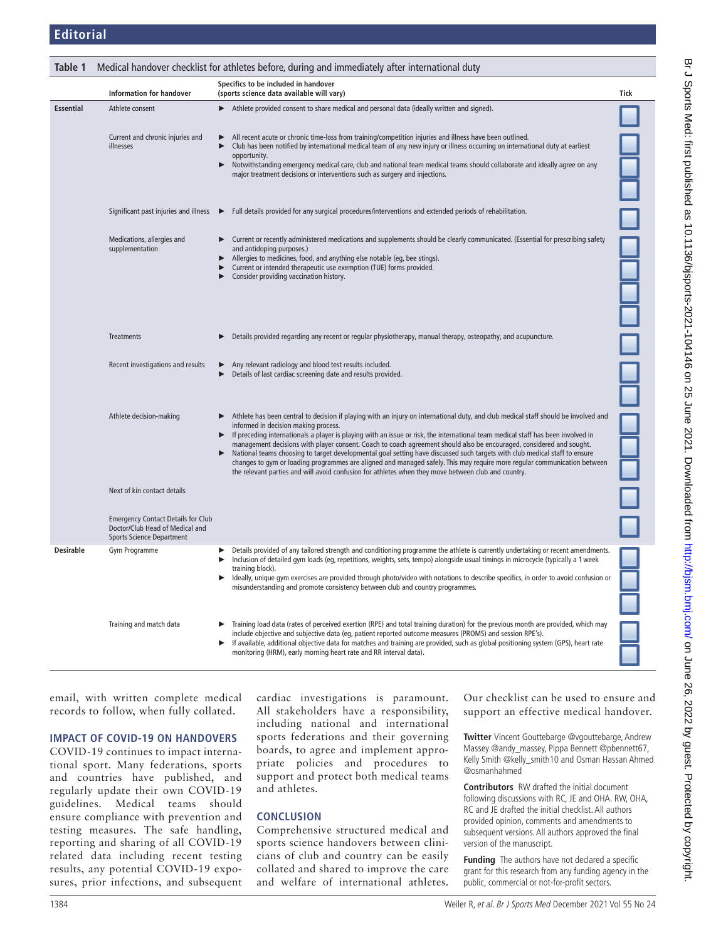<span id="page-1-0"></span>

| Table 1          | Medical handover checklist for athletes before, during and immediately after international duty                  |                                                                                                                                                                                                                                                                                                                                                                                                                                                                                                                                                                                                                                                                                                                                                                                                               |      |
|------------------|------------------------------------------------------------------------------------------------------------------|---------------------------------------------------------------------------------------------------------------------------------------------------------------------------------------------------------------------------------------------------------------------------------------------------------------------------------------------------------------------------------------------------------------------------------------------------------------------------------------------------------------------------------------------------------------------------------------------------------------------------------------------------------------------------------------------------------------------------------------------------------------------------------------------------------------|------|
|                  | <b>Information for handover</b>                                                                                  | Specifics to be included in handover<br>(sports science data available will vary)                                                                                                                                                                                                                                                                                                                                                                                                                                                                                                                                                                                                                                                                                                                             | Tick |
| <b>Essential</b> | Athlete consent                                                                                                  | Athlete provided consent to share medical and personal data (ideally written and signed).<br>▶                                                                                                                                                                                                                                                                                                                                                                                                                                                                                                                                                                                                                                                                                                                |      |
|                  | Current and chronic injuries and<br>illnesses                                                                    | All recent acute or chronic time-loss from training/competition injuries and illness have been outlined.<br>▶<br>Club has been notified by international medical team of any new injury or illness occurring on international duty at earliest<br>▶<br>opportunity.<br>Notwithstanding emergency medical care, club and national team medical teams should collaborate and ideally agree on any<br>▶<br>major treatment decisions or interventions such as surgery and injections.                                                                                                                                                                                                                                                                                                                            |      |
|                  | Significant past injuries and illness ▶                                                                          | Full details provided for any surgical procedures/interventions and extended periods of rehabilitation.                                                                                                                                                                                                                                                                                                                                                                                                                                                                                                                                                                                                                                                                                                       |      |
|                  | Medications, allergies and<br>supplementation                                                                    | Current or recently administered medications and supplements should be clearly communicated. (Essential for prescribing safety<br>and antidoping purposes.)<br>Allergies to medicines, food, and anything else notable (eg, bee stings).<br>▶<br>Current or intended therapeutic use exemption (TUE) forms provided.<br>Consider providing vaccination history.<br>▶                                                                                                                                                                                                                                                                                                                                                                                                                                          |      |
|                  | Treatments                                                                                                       | Details provided regarding any recent or regular physiotherapy, manual therapy, osteopathy, and acupuncture.<br>▶                                                                                                                                                                                                                                                                                                                                                                                                                                                                                                                                                                                                                                                                                             |      |
|                  | Recent investigations and results                                                                                | Any relevant radiology and blood test results included.<br>Details of last cardiac screening date and results provided.<br>▶                                                                                                                                                                                                                                                                                                                                                                                                                                                                                                                                                                                                                                                                                  |      |
|                  | Athlete decision-making                                                                                          | Athlete has been central to decision if playing with an injury on international duty, and club medical staff should be involved and<br>informed in decision making process.<br>If preceding internationals a player is playing with an issue or risk, the international team medical staff has been involved in<br>▶<br>management decisions with player consent. Coach to coach agreement should also be encouraged, considered and sought.<br>National teams choosing to target developmental goal setting have discussed such targets with club medical staff to ensure<br>changes to gym or loading programmes are aligned and managed safely. This may require more regular communication between<br>the relevant parties and will avoid confusion for athletes when they move between club and country. |      |
|                  | Next of kin contact details                                                                                      |                                                                                                                                                                                                                                                                                                                                                                                                                                                                                                                                                                                                                                                                                                                                                                                                               |      |
|                  | <b>Emergency Contact Details for Club</b><br>Doctor/Club Head of Medical and<br><b>Sports Science Department</b> |                                                                                                                                                                                                                                                                                                                                                                                                                                                                                                                                                                                                                                                                                                                                                                                                               |      |
| <b>Desirable</b> | Gym Programme                                                                                                    | Details provided of any tailored strength and conditioning programme the athlete is currently undertaking or recent amendments.<br>▶<br>Inclusion of detailed gym loads (eg, repetitions, weights, sets, tempo) alongside usual timings in microcycle (typically a 1 week<br>training block).<br>Ideally, unique gym exercises are provided through photo/video with notations to describe specifics, in order to avoid confusion or<br>▶<br>misunderstanding and promote consistency between club and country programmes.                                                                                                                                                                                                                                                                                    |      |
|                  | Training and match data                                                                                          | Training load data (rates of perceived exertion (RPE) and total training duration) for the previous month are provided, which may<br>include objective and subjective data (eq, patient reported outcome measures (PROMS) and session RPE's).<br>If available, additional objective data for matches and training are provided, such as global positioning system (GPS), heart rate<br>▶<br>monitoring (HRM), early morning heart rate and RR interval data).                                                                                                                                                                                                                                                                                                                                                 |      |

email, with written complete medical records to follow, when fully collated.

#### **Impact of COVID-19 on handovers**

COVID-19 continues to impact international sport. Many federations, sports and countries have published, and regularly update their own COVID-19 guidelines. Medical teams should ensure compliance with prevention and testing measures. The safe handling, reporting and sharing of all COVID-19 related data including recent testing results, any potential COVID-19 exposures, prior infections, and subsequent cardiac investigations is paramount. All stakeholders have a responsibility, including national and international sports federations and their governing boards, to agree and implement appropriate policies and procedures to support and protect both medical teams and athletes.

#### **Conclusion**

Comprehensive structured medical and sports science handovers between clinicians of club and country can be easily collated and shared to improve the care and welfare of international athletes. Our checklist can be used to ensure and support an effective medical handover.

**Twitter** Vincent Gouttebarge [@vgouttebarge,](https://twitter.com/vgouttebarge) Andrew Massey [@andy\\_massey,](https://twitter.com/andy_massey) Pippa Bennett [@pbennett67](https://twitter.com/pbennett67), Kelly Smith [@kelly\\_smith10](https://twitter.com/kelly_smith10) and Osman Hassan Ahmed [@osmanhahmed](https://twitter.com/osmanhahmed)

**Contributors** RW drafted the initial document following discussions with RC, JE and OHA. RW, OHA, RC and JE drafted the initial checklist. All authors provided opinion, comments and amendments to subsequent versions. All authors approved the final version of the manuscript.

**Funding** The authors have not declared a specific grant for this research from any funding agency in the public, commercial or not-for-profit sectors.